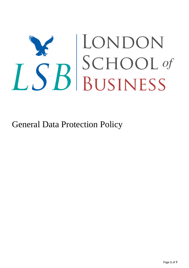# LSB SCHOOL of

General Data Protection Policy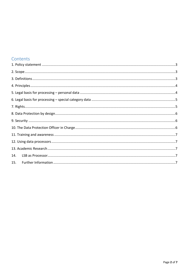### Contents

| 14. |  |
|-----|--|
| 15. |  |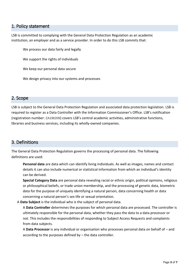#### <span id="page-2-0"></span>1. Policy statement

LSB is committed to complying with the General Data Protection Regulation as an academic institution, an employer and as a service provider. In order to do this LSB commits that:

We process our data fairly and legally

We support the rights of individuals

We keep our personal data secure

We design privacy into our systems and processes

#### <span id="page-2-1"></span>2. Scope

LSB is subject to the General Data Protection Regulation and associated data protection legislation. LSB is required to register as a Data Controller with the Information Commissioner's Office. LSB's notification (registration number: ZA190209) covers LSB's central academic activities, administrative functions, libraries and business services, including its wholly‐owned companies.

### <span id="page-2-2"></span>3. Definitions

The General Data Protection Regulation governs the processing of personal data. The following definitions are used:

**Personal data** are data which can identify living individuals. As well as images, names and contact details it can also include numerical or statistical information from which an individual's identity can be derived.

**Special Category Data** are personal data revealing racial or ethnic origin, political opinions, religious or philosophical beliefs, or trade union membership, and the processing of genetic data, biometric data for the purpose of uniquely identifying a natural person, data concerning health or data concerning a natural person's sex life or sexual orientation.

A **Data Subject** is the individual who is the subject of personal data.

A **Data Controller** determines the purposes for which personal data are processed. The controller is ultimately responsible for the personal data, whether they pass the data to a data processor or not. This includes the responsibilities of responding to Subject Access Requests and complaints from data subjects.

A **Data Processor** is any individual or organisation who processes personal data on behalf of – and according to the purposes defined by – the data controller.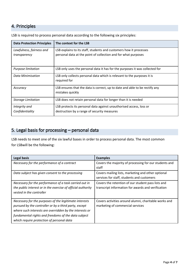## <span id="page-3-0"></span>4. Principles

| <b>Data Protection Principles</b> | The context for the LSB                                                                         |
|-----------------------------------|-------------------------------------------------------------------------------------------------|
| Lawfulness, fairness and          | LSB explains to its staff, students and customers how it processes                              |
| transparency                      | personal data at the point of collection and for what purposes                                  |
| Purpose limitation                | LSB only uses the personal data it has for the purposes it was collected for                    |
| <b>Data Minimisation</b>          | LSB only collects personal data which is relevant to the purposes it is<br>required for         |
| Accuracy                          | LSB ensures that the data is correct, up to date and able to be rectify any<br>mistakes quickly |
| <b>Storage Limitation</b>         | LSB does not retain personal data for longer than it is needed                                  |
| Integrity and                     | LSB protects its personal data against unauthorised access, loss or                             |
| Confidentiality                   | destruction by a range of security measures                                                     |

LSB is required to process personal data according to the following six principles:

# <span id="page-3-1"></span>5. Legal basis for processing – personal data

LSB needs to meet one of the six lawful bases in order to process personal data. The most common for LSBwill be the following:

| <b>Legal basis</b>                                           | <b>Examples</b>                                        |
|--------------------------------------------------------------|--------------------------------------------------------|
| Necessary for the performance of a contract                  | Covers the majority of processing for our students and |
|                                                              | staff                                                  |
| Data subject has given consent to the processing             | Covers mailing lists, marketing and other optional     |
|                                                              | services for staff, students and customers             |
| Necessary for the performance of a task carried out in       | Covers the retention of our student pass lists and     |
| the public interest or in the exercise of official authority | transcript information for awards and verification     |
| vested in the controller                                     |                                                        |
|                                                              |                                                        |
| Necessary for the purposes of the legitimate interests       | Covers activities around alumni, charitable works and  |
| pursued by the controller or by a third party, except        | marketing of commercial services                       |
| where such interests are overridden by the interests or      |                                                        |
| fundamental rights and freedoms of the data subject          |                                                        |
| which require protection of personal data                    |                                                        |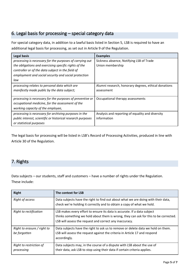# <span id="page-4-0"></span>6. Legal basis for processing – special category data

For special category data, in addition to a lawful basis listed in Section 5, LSB is required to have an additional legal basis for processing, as set out in Article 9 of the Regulation.

| <b>Legal basis</b>                                          | <b>Examples</b>                                      |
|-------------------------------------------------------------|------------------------------------------------------|
| processing is necessary for the purposes of carrying out    | Sickness absence, Notifying LSB of Trade             |
| the obligations and exercising specific rights of the       | Union membership                                     |
| controller or of the data subject in the field of           |                                                      |
| employment and social security and social protection        |                                                      |
| law                                                         |                                                      |
| processing relates to personal data which are               | Alumni research, honorary degrees, ethical donations |
| manifestly made public by the data subject;                 | assessment                                           |
|                                                             |                                                      |
| processing is necessary for the purposes of preventive or   | Occupational therapy assessments                     |
| occupational medicine, for the assessment of the            |                                                      |
| working capacity of the employee,                           |                                                      |
| processing is necessary for archiving purposes in the       | Analysis and reporting of equality and diversity     |
| public interest, scientific or historical research purposes | information                                          |
| or statistical purposes                                     |                                                      |

The legal basis for processing will be listed in LSB's Record of Processing Activities, produced in line with Article 30 of the Regulation.

# <span id="page-4-1"></span>7. Rights

Data subjects – our students, staff and customers – have a number of rights under the Regulation. These include:

| Right                                       | The context for LSB                                                                                                                                                                                                         |
|---------------------------------------------|-----------------------------------------------------------------------------------------------------------------------------------------------------------------------------------------------------------------------------|
| Right of access                             | Data subjects have the right to find out about what we are doing with their data,<br>check we're holding it correctly and to obtain a copy of what we hold.                                                                 |
| Right to rectification                      | LSB makes every effort to ensure its data is accurate. If a data subject<br>thinks something we hold about them is wrong, they can ask for this to be corrected.<br>LSB will assess the request and correct any inaccuracy. |
| Right to erasure / right to<br>be forgotten | Data subjects have the right to ask us to remove or delete data we hold on them.<br>LSB will assess the request against the criteria in Article 17 and respond<br>accordingly.                                              |
| Right to restriction of<br>processing       | Data subjects may, in the course of a dispute with LSB about the use of<br>their data, ask LSB to stop using their data if certain criteria applies.                                                                        |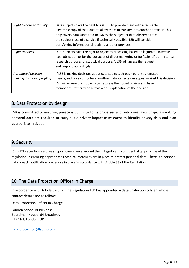| Right to data portability                         | Data subjects have the right to ask LSB to provide them with a re-usable<br>electronic copy of their data to allow them to transfer it to another provider. This<br>only covers data submitted to LSB by the subject or data observed from<br>the subject's use of a service If technically possible, LSB will consider<br>transferring information directly to another provider. |
|---------------------------------------------------|-----------------------------------------------------------------------------------------------------------------------------------------------------------------------------------------------------------------------------------------------------------------------------------------------------------------------------------------------------------------------------------|
| Right to object                                   | Data subjects have the right to object to processing based on legitimate interests,<br>legal obligation or for the purposes of direct marketing or for "scientific or historical<br>research purposes or statistical purposes". LSB will assess the request<br>and respond accordingly.                                                                                           |
| Automated decision<br>making, including profiling | If LSB is making decisions about data subjects through purely automated<br>means, such as a computer algorithm, data subjects can appeal against this decision.<br>LSB will ensure that subjects can express their point of view and have<br>member of staff provide a review and explanation of the decision.                                                                    |

## <span id="page-5-0"></span>8. Data Protection by design

LSB is committed to ensuring privacy is built into to its processes and outcomes. New projects involving personal data are required to carry out a privacy impact assessment to identify privacy risks and plan appropriate mitigation.

## <span id="page-5-1"></span>9. Security

LSB's ICT security measures support compliance around the 'integrity and confidentiality' principle of the regulation in ensuring appropriate technical measures are in place to protect personal data. There is a personal data breach notification procedure in place in accordance with Article 33 of the Regulation.

## <span id="page-5-2"></span>10. The Data Protection Officer in Charge

In accordance with Article 37‐39 of the Regulation LSB has appointed a data protection officer, whose contact details are as follows:

Data Protection Officer in Charge

London School of Business Boardman House, 64 Broadway E15 1NT, London, UK

[data.protection@lsbuk.com](mailto:data.protection@lsbuk.com)